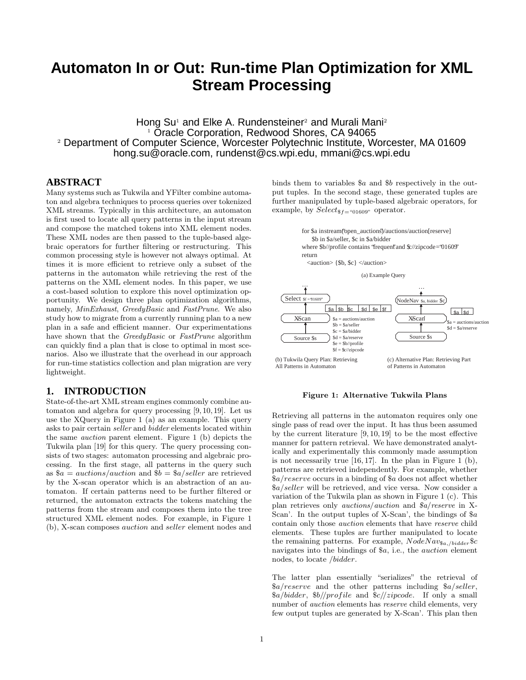# **Automaton In or Out: Run-time Plan Optimization for XML Stream Processing**

Hong  $Su^1$  and Elke A. Rundensteiner<sup>2</sup> and Murali Mani<sup>2</sup> <sup>1</sup> Oracle Corporation, Redwood Shores, CA 94065 <sup>2</sup> Department of Computer Science, Worcester Polytechnic Institute, Worcester, MA 01609 hong.su@oracle.com, rundenst@cs.wpi.edu, mmani@cs.wpi.edu

#### **ABSTRACT**

Many systems such as Tukwila and YFilter combine automaton and algebra techniques to process queries over tokenized XML streams. Typically in this architecture, an automaton is first used to locate all query patterns in the input stream and compose the matched tokens into XML element nodes. These XML nodes are then passed to the tuple-based algebraic operators for further filtering or restructuring. This common processing style is however not always optimal. At times it is more efficient to retrieve only a subset of the patterns in the automaton while retrieving the rest of the patterns on the XML element nodes. In this paper, we use a cost-based solution to explore this novel optimization opportunity. We design three plan optimization algorithms, namely, MinExhaust, GreedyBasic and FastPrune. We also study how to migrate from a currently running plan to a new plan in a safe and efficient manner. Our experimentations have shown that the GreedyBasic or FastPrune algorithm can quickly find a plan that is close to optimal in most scenarios. Also we illustrate that the overhead in our approach for run-time statistics collection and plan migration are very lightweight.

## **1. INTRODUCTION**

State-of-the-art XML stream engines commonly combine automaton and algebra for query processing [9, 10, 19]. Let us use the XQuery in Figure 1 (a) as an example. This query asks to pair certain seller and bidder elements located within the same auction parent element. Figure 1 (b) depicts the Tukwila plan [19] for this query. The query processing consists of two stages: automaton processing and algebraic processing. In the first stage, all patterns in the query such as  $a = \arctan s/auction$  and  $b = \frac{a}{s}$  and  $c = \arctan s/a$ by the X-scan operator which is an abstraction of an automaton. If certain patterns need to be further filtered or returned, the automaton extracts the tokens matching the patterns from the stream and composes them into the tree structured XML element nodes. For example, in Figure 1 (b), X-scan composes auction and seller element nodes and

binds them to variables \$a and \$b respectively in the output tuples. In the second stage, these generated tuples are further manipulated by tuple-based algebraic operators, for example, by  $Select_{\$f=\text{``01609''}}$  operator.

> for \$a in stream("open\_auctions")/auctions/auction[reserve] \$b in \$a/seller, \$c in \$a/bidder where  $$b$ //profile contains "frequent" and  $$c$ //zipcode = "01609" return

<auction> {\$b, \$c} </auction>





#### Figure 1: Alternative Tukwila Plans

Retrieving all patterns in the automaton requires only one single pass of read over the input. It has thus been assumed by the current literature [9, 10, 19] to be the most effective manner for pattern retrieval. We have demonstrated analytically and experimentally this commonly made assumption is not necessarily true [16, 17]. In the plan in Figure 1 (b), patterns are retrieved independently. For example, whether \$a/reserve occurs in a binding of \$a does not affect whether \$a/seller will be retrieved, and vice versa. Now consider a variation of the Tukwila plan as shown in Figure 1 (c). This plan retrieves only auctions/auction and \$a/reserve in X-Scan'. In the output tuples of X-Scan', the bindings of \$a contain only those auction elements that have reserve child elements. These tuples are further manipulated to locate the remaining patterns. For example,  $NodeNav_{\$a,/bidder}\$ navigates into the bindings of \$a, i.e., the *auction* element nodes, to locate /bidder.

The latter plan essentially "serializes" the retrieval of  $a/reserve$  and the other patterns including  $a/seller$ ,  $a/bidder, b/t$ *profile* and  $c/tzipcode$ . If only a small number of auction elements has reserve child elements, very few output tuples are generated by X-Scan'. This plan then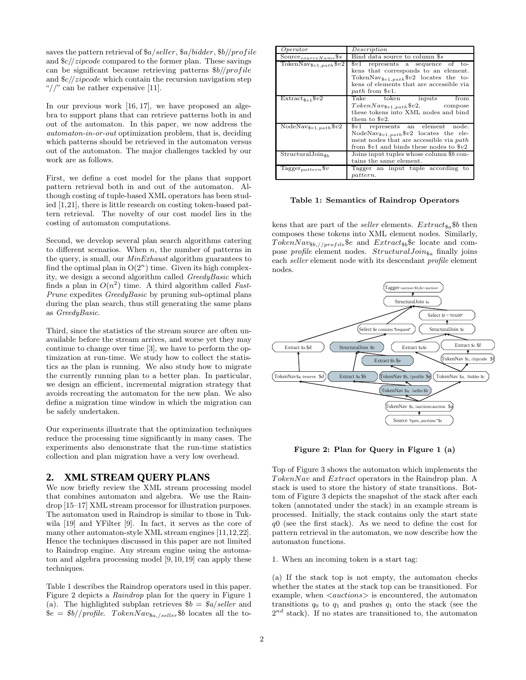saves the pattern retrieval of  $a/seller$ ,  $a/bidder$ ,  $b/bprofile$ and  $\frac{c}{zipcode}$  compared to the former plan. These savings can be significant because retrieving patterns  $b$ //profile and  $\frac{c}{zipcode}$  which contain the recursion navigation step "//" can be rather expensive [11].

In our previous work [16, 17], we have proposed an algebra to support plans that can retrieve patterns both in and out of the automaton. In this paper, we now address the automaton-in-or-out optimization problem, that is, deciding which patterns should be retrieved in the automaton versus out of the automaton. The major challenges tackled by our work are as follows.

First, we define a cost model for the plans that support pattern retrieval both in and out of the automaton. Although costing of tuple-based XML operators has been studied [1,21], there is little research on costing token-based pattern retrieval. The novelty of our cost model lies in the costing of automaton computations.

Second, we develop several plan search algorithms catering to different scenarios. When  $n$ , the number of patterns in the query, is small, our MinExhaust algorithm guarantees to find the optimal plan in  $O(2^n)$  time. Given its high complexity, we design a second algorithm called GreedyBasic which finds a plan in  $O(n^2)$  time. A third algorithm called Fast-Prune expedites GreedyBasic by pruning sub-optimal plans during the plan search, thus still generating the same plans as GreedyBasic.

Third, since the statistics of the stream source are often unavailable before the stream arrives, and worse yet they may continue to change over time [3], we have to perform the optimization at run-time. We study how to collect the statistics as the plan is running. We also study how to migrate the currently running plan to a better plan. In particular, we design an efficient, incremental migration strategy that avoids recreating the automaton for the new plan. We also define a migration time window in which the migration can be safely undertaken.

Our experiments illustrate that the optimization techniques reduce the processing time significantly in many cases. The experiments also demonstrate that the run-time statistics collection and plan migration have a very low overhead.

#### **2. XML STREAM QUERY PLANS**

We now briefly review the XML stream processing model that combines automaton and algebra. We use the Raindrop [15–17] XML stream processor for illustration purposes. The automaton used in Raindrop is similar to those in Tukwila [19] and YFilter [9]. In fact, it serves as the core of many other automaton-style XML stream engines [11,12,22]. Hence the techniques discussed in this paper are not limited to Raindrop engine. Any stream engine using the automaton and algebra processing model [9, 10, 19] can apply these techniques.

Table 1 describes the Raindrop operators used in this paper. Figure 2 depicts a Raindrop plan for the query in Figure 1 (a). The highlighted subplan retrieves  $$b = $a/seller$  and  $\hat{\mathcal{S}}e = \frac{\hat{\mathcal{S}}b}{\hat{\mathcal{S}}t}$  for  $The number of nodes are the same as follows:\n $\hat{\mathcal{S}}e = \frac{\hat{\mathcal{S}}b}{\hat{\mathcal{S}}t}$$ 

| Operator                                        | Description                                                             |  |  |  |  |  |  |  |
|-------------------------------------------------|-------------------------------------------------------------------------|--|--|--|--|--|--|--|
| Source $_{sourceName}$ \$s                      | Bind data source to column \$s                                          |  |  |  |  |  |  |  |
| Token $\overline{\text{Nav}}_{\$v1, path}$ \$v2 | $v1$ represents a sequence of to-                                       |  |  |  |  |  |  |  |
|                                                 | kens that corresponds to an element.                                    |  |  |  |  |  |  |  |
|                                                 | TokenNav <sub><math>\$v_1, p_a, t_h</math></sub> $$v_2$ locates the to- |  |  |  |  |  |  |  |
|                                                 | kens of elements that are accessible via                                |  |  |  |  |  |  |  |
|                                                 | path from $v1$ .                                                        |  |  |  |  |  |  |  |
| $Extract_{\$v1}\$v2$                            | Take token inputs<br>from                                               |  |  |  |  |  |  |  |
|                                                 | $TokenNav_{\$v1, path} \$v2,$ compose                                   |  |  |  |  |  |  |  |
|                                                 | these tokens into XML nodes and bind                                    |  |  |  |  |  |  |  |
|                                                 | them to $v2$ .                                                          |  |  |  |  |  |  |  |
| $NodeNav_{\$v1, path} \$v2$                     | $v1$ represents an element<br>node.                                     |  |  |  |  |  |  |  |
|                                                 | NodeNav <sub>\$v1.path</sub> \$v2 locates the ele-                      |  |  |  |  |  |  |  |
|                                                 | ment nodes that are accessible via path                                 |  |  |  |  |  |  |  |
|                                                 | from $v1$ and binds these nodes to $v2$                                 |  |  |  |  |  |  |  |
| $StructuralJoin_{8b}$                           | Joins input tuples whose column \$b con-                                |  |  |  |  |  |  |  |
|                                                 | tains the same element.                                                 |  |  |  |  |  |  |  |
| Tagger <sub>pattern</sub> \$v                   | Tagger an input tuple according to                                      |  |  |  |  |  |  |  |
|                                                 | pattern.                                                                |  |  |  |  |  |  |  |

#### Table 1: Semantics of Raindrop Operators

kens that are part of the seller elements.  $Extract_{\$a}\$b$  then composes these tokens into XML element nodes. Similarly,  $TokenNav_{8b//profile}$  & and  $Extract_{8b}$  & locate and compose *profile* element nodes.  $StructuralJoin_{\$a}$  finally joins each seller element node with its descendant profile element nodes.



Figure 2: Plan for Query in Figure 1 (a)

Top of Figure 3 shows the automaton which implements the TokenNav and Extract operators in the Raindrop plan. A stack is used to store the history of state transitions. Bottom of Figure 3 depicts the snapshot of the stack after each token (annotated under the stack) in an example stream is processed. Initially, the stack contains only the start state  $q0$  (see the first stack). As we need to define the cost for pattern retrieval in the automaton, we now describe how the automaton functions.

#### 1. When an incoming token is a start tag:

(a) If the stack top is not empty, the automaton checks whether the states at the stack top can be transitioned. For example, when  $\langle \textit{a} \textit{uctions} \rangle$  is encountered, the automaton transitions  $q_0$  to  $q_1$  and pushes  $q_1$  onto the stack (see the  $2^{nd}$  stack). If no states are transitioned to, the automaton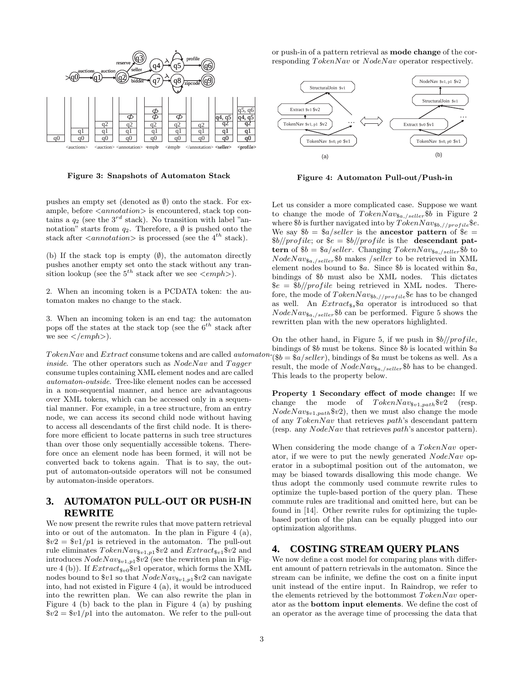

Figure 3: Snapshots of Automaton Stack

or push-in of a pattern retrieval as mode change of the corresponding TokenNav or NodeNav operator respectively.



Figure 4: Automaton Pull-out/Push-in

pushes an empty set (denoted as  $\emptyset$ ) onto the stack. For example, before  $\langle{}annotation\rangle{}$  is encountered, stack top contains a  $q_2$  (see the  $3^{rd}$  stack). No transition with label "annotation" starts from  $q_2$ . Therefore, a  $\emptyset$  is pushed onto the stack after  $\langle{}annotation\rangle$  is processed (see the 4<sup>th</sup> stack).

(b) If the stack top is empty  $(\emptyset)$ , the automaton directly pushes another empty set onto the stack without any transition lookup (see the  $5^{th}$  stack after we see  $\langle \text{emph} \rangle$ ).

2. When an incoming token is a PCDATA token: the automaton makes no change to the stack.

3. When an incoming token is an end tag: the automaton pops off the states at the stack top (see the  $6^{th}$  stack after we see  $\langle\langle\epsilon mph\rangle\rangle$ .

TokenNav and Extract consume tokens and are called automaton*inside*. The other operators such as  $NodeNav$  and  $Tagger$ consume tuples containing XML element nodes and are called automaton-outside. Tree-like element nodes can be accessed in a non-sequential manner, and hence are advantageous over XML tokens, which can be accessed only in a sequential manner. For example, in a tree structure, from an entry node, we can access its second child node without having to access all descendants of the first child node. It is therefore more efficient to locate patterns in such tree structures than over those only sequentially accessible tokens. Therefore once an element node has been formed, it will not be converted back to tokens again. That is to say, the output of automaton-outside operators will not be consumed by automaton-inside operators.

# **3. AUTOMATON PULL-OUT OR PUSH-IN REWRITE**

We now present the rewrite rules that move pattern retrieval into or out of the automaton. In the plan in Figure 4 (a),  $\sqrt[6]{v^2} = \sqrt[6]{v^2 + 1}$  is retrieved in the automaton. The pull-out rule eliminates  $TokenNav_{\$v1,p1}\$v2$  and  $Extract_{\$v1}\$v2$  and introduces  $NodeNav_{\$v1,p1\$v2}$  (see the rewritten plan in Figure 4 (b)). If  $Extract_{\$v0}@v1$  operator, which forms the XML nodes bound to  $v1$  so that  $NodeNav_{v1,p1}$  $v2$  can navigate into, had not existed in Figure 4 (a), it would be introduced into the rewritten plan. We can also rewrite the plan in Figure 4 (b) back to the plan in Figure 4 (a) by pushing  $\sqrt[6]{v^2} = \sqrt[6]{v^2 + 1}$  into the automaton. We refer to the pull-out

Let us consider a more complicated case. Suppose we want to change the mode of  $TokenNav_{\$a,/self}$  \$b in Figure 2 where  $$b$  is further navigated into by  $TokenNav_{8b//profile}$  $e.$ We say  $$b = $a/seller$  is the ancestor pattern of  $$e =$  $$b//profile$ ; or  $$e = $b//profile$  is the **descendant pat**tern of  $b = \frac{s}{a}$ /seller. Changing TokenNav<sub>sa,/seller</sub>\$b to  $NodeNav_{\$a,/self}}$  $\$b$  makes /seller to be retrieved in XML element nodes bound to  $a$ . Since  $b$  is located within  $a$ , bindings of \$b must also be XML nodes. This dictates  $\varepsilon = \frac{6b}{\text{profile}}$  being retrieved in XML nodes. Therefore, the mode of  $TokenNav_{\$b,//profile}$  $\$e$  has to be changed as well. An  $Extract_{s_{s}}\$a$  operator is introduced so that  $NodeNav_{\$a,/self}}$  $\$b$  can be performed. Figure 5 shows the rewritten plan with the new operators highlighted.

On the other hand, in Figure 5, if we push in  $\frac{b}{\sqrt{c}}$  if  $\frac{b}{\sqrt{c}}$ bindings of \$b must be tokens. Since \$b is located within \$a  $($  \$ $b =$  \$a/seller), bindings of \$a must be tokens as well. As a result, the mode of  $NodeNav_{\$a./selfer}}$  $\$b$  has to be changed. This leads to the property below.

Property 1 Secondary effect of mode change: If we change the mode of  $TokenNav_{\$v1,path}\$v2$  (resp.  $NodeNav_{\$v1, path}$  $\$v2)$ , then we must also change the mode of any TokenNav that retrieves path's descendant pattern (resp. any NodeNav that retrieves path's ancestor pattern).

When considering the mode change of a TokenNav operator, if we were to put the newly generated  $NodeNav$  operator in a suboptimal position out of the automaton, we may be biased towards disallowing this mode change. We thus adopt the commonly used commute rewrite rules to optimize the tuple-based portion of the query plan. These commute rules are traditional and omitted here, but can be found in [14]. Other rewrite rules for optimizing the tuplebased portion of the plan can be equally plugged into our optimization algorithms.

# **4. COSTING STREAM QUERY PLANS**

We now define a cost model for comparing plans with different amount of pattern retrievals in the automaton. Since the stream can be infinite, we define the cost on a finite input unit instead of the entire input. In Raindrop, we refer to the elements retrieved by the bottommost  $TokenNav$  operator as the bottom input elements. We define the cost of an operator as the average time of processing the data that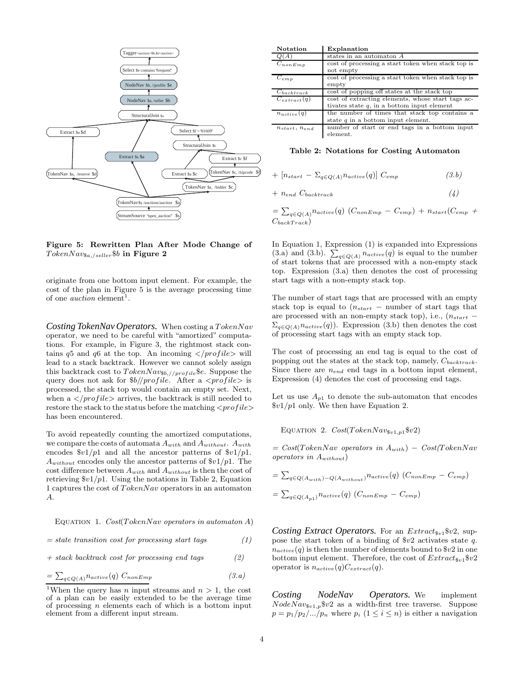

Figure 5: Rewritten Plan After Mode Change of  $TokenNav_{\$a./selfer}}$ \$b in Figure 2

originate from one bottom input element. For example, the cost of the plan in Figure 5 is the average processing time of one *auction* element<sup>1</sup>.

*Costing TokenNav Operators.* When costing a TokenNav operator, we need to be careful with "amortized" computations. For example, in Figure 3, the rightmost stack contains  $q5$  and  $q6$  at the top. An incoming  $\langle$  profile  $\rangle$  will lead to a stack backtrack. However we cannot solely assign this backtrack cost to  $TokenNav_{\$b,//profile}$   $\$e.$  Suppose the query does not ask for  $b$ //profile. After a  $\langle$ profile $\rangle$  is processed, the stack top would contain an empty set. Next, when a  $\langle$ /*profile* $>$  arrives, the backtrack is still needed to restore the stack to the status before the matching  $\langle profile \rangle$ has been encountered.

To avoid repeatedly counting the amortized computations, we compare the costs of automata  $A_{with}$  and  $A_{without}$ .  $A_{with}$ encodes  $\frac{v_1}{p_1}$  and all the ancestor patterns of  $\frac{v_1}{p_1}$ .  $A_{without}$  encodes only the ancestor patterns of  $v1/p1$ . The cost difference between  $A_{with}$  and  $A_{without}$  is then the cost of retrieving  $\frac{1}{p}$ . Using the notations in Table 2, Equation 1 captures the cost of TokenNav operators in an automaton A.

EQUATION 1. 
$$
Cost(TokenNav operators in automaton A)
$$

$$
= state\ transition\ cost\ for\ processing\ start\ tags\tag{1}
$$

$$
+ stack backtrack cost for processing end tags \qquad (2)
$$

$$
=\sum_{q\in Q(A)} n_{active}(q) \ C_{nonEmp} \tag{3. a}
$$

| <b>Notation</b>      | Explanation                                                                                        |
|----------------------|----------------------------------------------------------------------------------------------------|
| Q(A)                 | states in an automaton $A$                                                                         |
| $C_{nonEmp}$         | cost of processing a start token when stack top is<br>not empty                                    |
| $C_{emp}$            | cost of processing a start token when stack top is<br>empty                                        |
| $C_{backtrack}$      | cost of popping off states at the stack top                                                        |
| $C_{extract}(q)$     | cost of extracting elements, whose start tags ac-<br>tivates state $q$ , in a bottom input element |
| $n_{active}(q)$      | the number of times that stack top contains a<br>state $q$ in a bottom input element.              |
| $n_{start}, n_{end}$ | number of start or end tags in a bottom input<br>element.                                          |

Table 2: Notations for Costing Automaton

$$
+\left[n_{start} - \Sigma_{q \in Q(A)} n_{active}(q)\right] C_{emp} \tag{3.b}
$$

$$
+\;n_{end}\;C_{backtrack}\qquad \qquad (4)
$$

 $=\sum_{q\in Q(A)} n_{active}(q)$   $(C_{nonEmp} - C_{emp}) + n_{start}(C_{emp} +$  $C_{backTrack}$ 

In Equation 1, Expression (1) is expanded into Expressions (3.a) and (3.b).  $\sum_{q \in Q(A)} n_{active}(q)$  is equal to the number of start tokens that are processed with a non-empty stack top. Expression (3.a) then denotes the cost of processing start tags with a non-empty stack top.

The number of start tags that are processed with an empty stack top is equal to  $(n_{start} -$  number of start tags that are processed with an non-empty stack top), i.e.,  $(n_{start}$  $\Sigma_{q \in Q(A)}$ n<sub>active</sub> $(q)$ ). Expression (3.b) then denotes the cost of processing start tags with an empty stack top.

The cost of processing an end tag is equal to the cost of popping out the states at the stack top, namely,  $C_{backtrack}$ . Since there are  $n_{end}$  end tags in a bottom input element, Expression (4) denotes the cost of processing end tags.

Let us use  $A_{p1}$  to denote the sub-automaton that encodes  $\frac{\$v1}{p1}$  only. We then have Equation 2.

EQUATION 2.  $Cost(TokenNav_{\$v1, p1} \$ v2)$ 

 $= Cost(TokenNav$  operators in  $A_{with}$ ) –  $Cost(TokenNav)$ operators in  $A_{without}$ )

$$
= \sum_{q \in Q(A_{with})-Q(A_{without})} n_{active}(q) (C_{nonEmp} - C_{emp})
$$

$$
= \sum_{q \in Q(A_{p1})} n_{active}(q) (C_{nonEmp} - C_{emp})
$$

*Costing Extract Operators.* For an  $Extract_{3v1}$ \$v2, suppose the start token of a binding of  $v2$  activates state q.  $n_{active}(q)$  is then the number of elements bound to  $v2$  in one bottom input element. Therefore, the cost of  $Extract_{\$v1}@v2$ operator is  $n_{active}(q)C_{extract}(q)$ .

*Costing NodeNav Operators.* We implement  $NodeNav_{\$v1,p}$  $\$v2$  as a width-first tree traverse. Suppose  $p = p_1/p_2/.../p_n$  where  $p_i$   $(1 \leq i \leq n)$  is either a navigation

<sup>&</sup>lt;sup>1</sup>When the query has *n* input streams and  $n > 1$ , the cost of a plan can be easily extended to be the average time of processing  $n$  elements each of which is a bottom input element from a different input stream.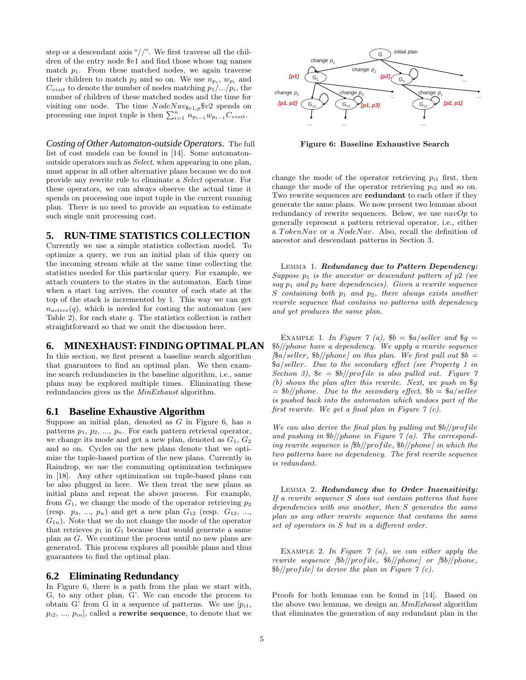step or a descendant axis " $//$ ". We first traverse all the children of the entry node \$v1 and find those whose tag names match  $p_1$ . From these matched nodes, we again traverse their children to match  $p_2$  and so on. We use  $n_{p_i}$ ,  $w_{p_i}$  and  $C_{visit}$  to denote the number of nodes matching  $p_1/.../p_i$ , the number of children of these matched nodes and the time for visiting one node. The time  $NodeNav_{\$v1,p} \$v2$  spends on processing one input tuple is then  $\sum_{i=1}^{n} n_{p_{i-1}}w_{p_{i-1}}C_{visit}$ .

*Costing of Other Automaton-outside Operators.* The full list of cost models can be found in [14]. Some automatonoutside operators such as Select, when appearing in one plan, must appear in all other alternative plans because we do not provide any rewrite rule to eliminate a Select operator. For these operators, we can always observe the actual time it spends on processing one input tuple in the current running plan. There is no need to provide an equation to estimate such single unit processing cost.

# **5. RUN-TIME STATISTICS COLLECTION**

Currently we use a simple statistics collection model. To optimize a query, we run an initial plan of this query on the incoming stream while at the same time collecting the statistics needed for this particular query. For example, we attach counters to the states in the automaton. Each time when a start tag arrives, the counter of each state at the top of the stack is incremented by 1. This way we can get  $n_{active}(q)$ , which is needed for costing the automaton (see Table 2), for each state  $q$ . The statistics collection is rather straightforward so that we omit the discussion here.

#### **6. MINEXHAUST: FINDING OPTIMAL PLAN**

In this section, we first present a baseline search algorithm that guarantees to find an optimal plan. We then examine search redundancies in the baseline algorithm, i.e., same plans may be explored multiple times. Eliminating these redundancies gives us the MinExhaust algorithm.

#### **6.1 Baseline Exhaustive Algorithm**

Suppose an initial plan, denoted as  $G$  in Figure 6, has  $n$ patterns  $p_1, p_2, ..., p_n$ . For each pattern retrieval operator, we change its mode and get a new plan, denoted as  $G_1, G_2$ and so on. Cycles on the new plans denote that we optimize the tuple-based portion of the new plans. Currently in Raindrop, we use the commuting optimization techniques in [18]. Any other optimization on tuple-based plans can be also plugged in here. We then treat the new plans as initial plans and repeat the above process. For example, from  $G_1$ , we change the mode of the operator retrieving  $p_2$ (resp.  $p_3, ..., p_n$ ) and get a new plan  $G_{12}$  (resp.  $G_{12}, ...,$  $G_{1n}$ ). Note that we do not change the mode of the operator that retrieves  $p_1$  in  $G_1$  because that would generate a same plan as G. We continue the process until no new plans are generated. This process explores all possible plans and thus guarantees to find the optimal plan.

# **6.2 Eliminating Redundancy**

In Figure 6, there is a path from the plan we start with, G, to any other plan, G'. We can encode the process to obtain G' from G in a sequence of patterns. We use  $[p_{i1},]$  $p_{i2}, ..., p_{in}$ , called a **rewrite sequence**, to denote that we



Figure 6: Baseline Exhaustive Search

change the mode of the operator retrieving  $p_{i1}$  first, then change the mode of the operator retrieving  $p_{i2}$  and so on. Two rewrite sequences are **redundant** to each other if they generate the same plans. We now present two lemmas about redundancy of rewrite sequences. Below, we use  $navOp$  to generally represent a pattern retrieval operator, i.e., either a TokenNav or a NodeNav. Also, recall the definition of ancestor and descendant patterns in Section 3.

LEMMA 1. Redundancy due to Pattern Dependency: Suppose  $p_1$  is the ancestor or descendant pattern of  $p_2$  (we say  $p_1$  and  $p_2$  have dependencies). Given a rewrite sequence S containing both  $p_1$  and  $p_2$ , there always exists another rewrite sequence that contains no patterns with dependency and yet produces the same plan.

EXAMPLE 1. In Figure 7 (a),  $$b = $a/self$  and  $$g =$ \$b//phone have a dependency. We apply a rewrite sequence  $[\$a/seller, \$b//phone]$  on this plan. We first pull out  $\$b =$ \$a/seller. Due to the secondary effect (see Property 1 in Section 3),  $\hat{\mathcal{S}}e = \frac{\hat{\mathcal{S}}b}{\hat{r}e}$  is also pulled out. Figure 7 (b) shows the plan after this rewrite. Next, we push in \$g  $=$  \$b//phone. Due to the secondary effect, \$b = \$a/seller is pushed back into the automaton which undoes part of the first rewrite. We get a final plan in Figure  $\gamma$  (c).

We can also derive the final plan by pulling out  $b$ //profile and pushing in  $b$ //phone in Figure 7 (a). The corresponding rewrite sequence is  $\frac{1}{b}/\frac{p}{p}$  in which the two patterns have no dependency. The first rewrite sequence is redundant.

LEMMA 2. Redundancy due to Order Insensitivity: If a rewrite sequence S does not contain patterns that have dependencies with one another, then S generates the same plan as any other rewrite sequence that contains the same set of operators in S but in a different order.

EXAMPLE 2. In Figure  $\gamma$  (a), we can either apply the rewrite sequence  $\frac{1}{b}$ //profile,  $\frac{1}{b}$ //phone] or  $\frac{1}{b}$ //phone,  $$b//profile$  to derive the plan in Figure 7 (c).

Proofs for both lemmas can be found in [14]. Based on the above two lemmas, we design an MinExhaust algorithm that eliminates the generation of any redundant plan in the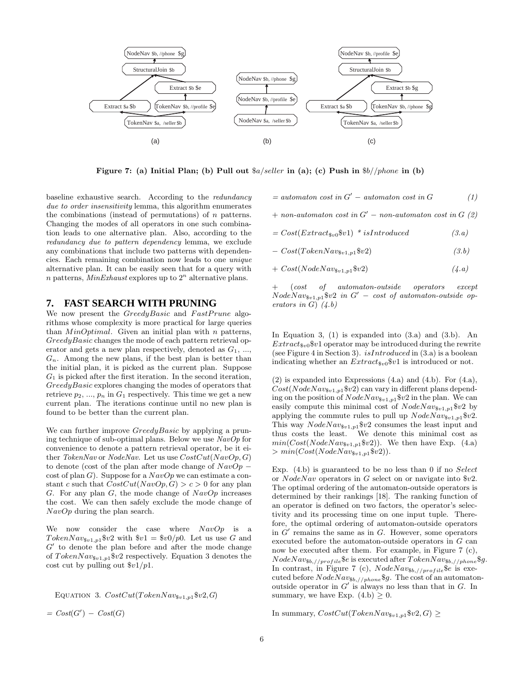

Figure 7: (a) Initial Plan; (b) Pull out  $a/seller$  in (a); (c) Push in  $b//phone$  in (b)

baseline exhaustive search. According to the redundancy due to order insensitivity lemma, this algorithm enumerates the combinations (instead of permutations) of  $n$  patterns. Changing the modes of all operators in one such combination leads to one alternative plan. Also, according to the redundancy due to pattern dependency lemma, we exclude any combinations that include two patterns with dependencies. Each remaining combination now leads to one unique alternative plan. It can be easily seen that for a query with *n* patterns, *MinExhaust* explores up to  $2^n$  alternative plans.

#### **7. FAST SEARCH WITH PRUNING**

We now present the *GreedyBasic* and *FastPrune* algorithms whose complexity is more practical for large queries than  $MinOptimal$ . Given an initial plan with n patterns, GreedyBasic changes the mode of each pattern retrieval operator and gets a new plan respectively, denoted as  $G_1, \ldots,$  $G_n$ . Among the new plans, if the best plan is better than the initial plan, it is picked as the current plan. Suppose  $G_1$  is picked after the first iteration. In the second iteration, GreedyBasic explores changing the modes of operators that retrieve  $p_2, ..., p_n$  in  $G_1$  respectively. This time we get a new current plan. The iterations continue until no new plan is found to be better than the current plan.

We can further improve *GreedyBasic* by applying a pruning technique of sub-optimal plans. Below we use  $NavOp$  for convenience to denote a pattern retrieval operator, be it either TokenNav or NodeNav. Let us use  $CostCut(NavOp, G)$ to denote (cost of the plan after mode change of  $NavOp$ cost of plan G). Suppose for a  $NavOp$  we can estimate a constant c such that  $CostCut(NavOp, G) > c > 0$  for any plan G. For any plan G, the mode change of  $NavOp$  increases the cost. We can then safely exclude the mode change of NavOp during the plan search.

We now consider the case where  $NavOp$  is a Token $Nav_{\$v1,p1}$   $\$v2$  with  $\$v1 = \$v0/p0$ . Let us use G and G ′ to denote the plan before and after the mode change of  $TokenNav_{\$v1,p1}\$v2$  respectively. Equation 3 denotes the cost cut by pulling out  $\frac{6v1}{p1}$ .

EQUATION 3.  $CostCut(TokenNav_{\$v1,p1} \$v2,G)$ 

 $= Cost(G') - Cost(G)$ 

 $=$  automaton cost in  $G'$  – automaton cost in  $G$  (1)

$$
+\ non-automaton\ cost\ in\ G^{\prime}\ -\ non-automaton\ cost\ in\ G\ (2)
$$

 $= Cost(Extract_{\$v0}\$v1) * isIntroduced$  (3.a)

 $- Cost(TokenNav_{\$v1, p1} \$ v2)$  (3.b)

$$
+ \ \mathcal{C}ost(\mathit{NodeNav}_{\$v1,p1}\$v2) \tag{4. a}
$$

 $(cost$  of automaton-outside operators except  $NodeNav_{\$v1,p1}$  $\$v2$  in  $G' - cost$  of automaton-outside operators in  $G$ )  $(4.b)$ 

In Equation 3,  $(1)$  is expanded into  $(3.a)$  and  $(3.b)$ . An  $Extract_{\$v0}@v1$  operator may be introduced during the rewrite (see Figure 4 in Section 3).  $isIntroduced$  in (3.a) is a boolean indicating whether an  $Extract_{\$v0}\$v1$  is introduced or not.

(2) is expanded into Expressions (4.a) and (4.b). For (4.a),  $Cost(NodeNav_{\$v1,p1} \$v2)$  can vary in different plans depending on the position of  $NodeNav_{\$v1,p1}$  $\$v2$  in the plan. We can easily compute this minimal cost of  $NodeNav_{\$v1,p1}$  $\$v2$  by applying the commute rules to pull up  $NodeNav_{\$v1,p1}\$v2$ . This way  $NodeNav_{\$v1,p1}$  $\$v2$  consumes the least input and thus costs the least. We denote this minimal cost as  $min(Cost(NodeNav_{\$v1,p1}\$v2)).$  We then have Exp. (4.a)  $> min(Cost(NodeNav_{1,p1}$ \$v2)).

Exp.  $(4.b)$  is guaranteed to be no less than 0 if no Select or NodeNav operators in G select on or navigate into \$v2. The optimal ordering of the automaton-outside operators is determined by their rankings [18]. The ranking function of an operator is defined on two factors, the operator's selectivity and its processing time on one input tuple. Therefore, the optimal ordering of automaton-outside operators in  $G'$  remains the same as in  $G$ . However, some operators executed before the automaton-outside operators in G can now be executed after them. For example, in Figure 7 (c),  $NodeNav_{\$b,//profile}$  $\$e$  is executed after  $TokenNav_{\$b,//phone}$ §g. In contrast, in Figure 7 (c),  $NodeNav_{\$b,//profile}$  $\$ e is executed before  $NodeNav_{\$b,//phone} \$g$ . The cost of an automatonoutside operator in  $G'$  is always no less than that in  $G$ . In summary, we have Exp.  $(4.b) \geq 0$ .

In summary,  $CostCut(TokenNav_{\$v1,p1}\$v2, G) \geq$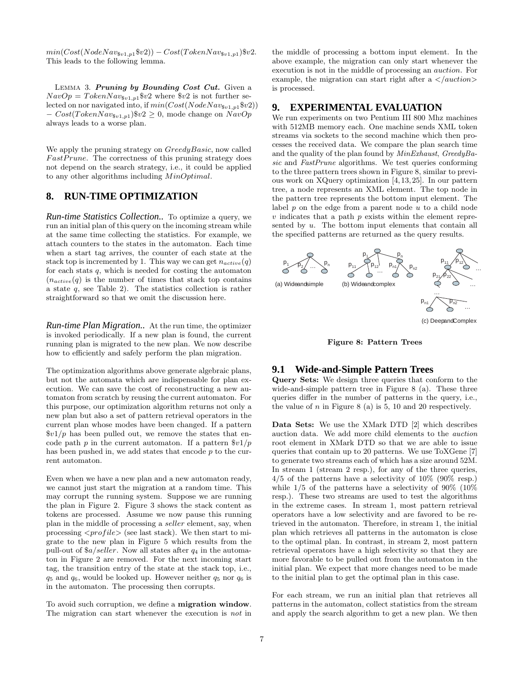$min(Cost(NodeNav_{\$v1,p1}$\$v2)) - Cost(TokenNav_{\$v1,p1}$)$ \$v2. This leads to the following lemma.

LEMMA 3. Pruning by Bounding Cost Cut. Given a  $NavOp = TokenNav_{\$v1,p1}}$  $v2$  where  $v2$  is not further selected on nor navigated into, if  $min(Cost(NodeNav_{\$v1,p1}\$v2))$  $-Cost(TokenNav_{\$v1,p1})\$v2 \geq 0$ , mode change on  $NavOp$ always leads to a worse plan.

We apply the pruning strategy on *GreedyBasic*, now called FastPrune. The correctness of this pruning strategy does not depend on the search strategy, i.e., it could be applied to any other algorithms including MinOptimal.

# **8. RUN-TIME OPTIMIZATION**

*Run-time Statistics Collection..* To optimize a query, we run an initial plan of this query on the incoming stream while at the same time collecting the statistics. For example, we attach counters to the states in the automaton. Each time when a start tag arrives, the counter of each state at the stack top is incremented by 1. This way we can get  $n_{active}(q)$ for each stats  $q$ , which is needed for costing the automaton  $(n_{active}(q)$  is the number of times that stack top contains a state  $q$ , see Table 2). The statistics collection is rather straightforward so that we omit the discussion here.

*Run-time Plan Migration..* At the run time, the optimizer is invoked periodically. If a new plan is found, the current running plan is migrated to the new plan. We now describe how to efficiently and safely perform the plan migration.

The optimization algorithms above generate algebraic plans, but not the automata which are indispensable for plan execution. We can save the cost of reconstructing a new automaton from scratch by reusing the current automaton. For this purpose, our optimization algorithm returns not only a new plan but also a set of pattern retrieval operators in the current plan whose modes have been changed. If a pattern  $\frac{\$v1}{p}$  has been pulled out, we remove the states that encode path p in the current automaton. If a pattern  $\frac{1}{p}$ has been pushed in, we add states that encode p to the current automaton.

Even when we have a new plan and a new automaton ready, we cannot just start the migration at a random time. This may corrupt the running system. Suppose we are running the plan in Figure 2. Figure 3 shows the stack content as tokens are processed. Assume we now pause this running plan in the middle of processing a seller element, say, when processing  $\langle profile \rangle$  (see last stack). We then start to migrate to the new plan in Figure 5 which results from the pull-out of  $a/seller$ . Now all states after  $q_4$  in the automaton in Figure 2 are removed. For the next incoming start tag, the transition entry of the state at the stack top, i.e.,  $q_5$  and  $q_6$ , would be looked up. However neither  $q_5$  nor  $q_6$  is in the automaton. The processing then corrupts.

To avoid such corruption, we define a migration window. The migration can start whenever the execution is not in the middle of processing a bottom input element. In the above example, the migration can only start whenever the execution is not in the middle of processing an auction. For example, the migration can start right after a  $\langle$  /*auction* $\rangle$ is processed.

#### **9. EXPERIMENTAL EVALUATION**

We run experiments on two Pentium III 800 Mhz machines with 512MB memory each. One machine sends XML token streams via sockets to the second machine which then processes the received data. We compare the plan search time and the quality of the plan found by MinExhaust, GreedyBasic and FastPrune algorithms. We test queries conforming to the three pattern trees shown in Figure 8, similar to previous work on XQuery optimization [4, 13, 25]. In our pattern tree, a node represents an XML element. The top node in the pattern tree represents the bottom input element. The label  $p$  on the edge from a parent node  $u$  to a child node  $v$  indicates that a path  $p$  exists within the element represented by  $u$ . The bottom input elements that contain all the specified patterns are returned as the query results.



(c) Deep
and
Complex

Figure 8: Pattern Trees

#### **9.1 Wide-and-Simple Pattern Trees**

Query Sets: We design three queries that conform to the wide-and-simple pattern tree in Figure 8 (a). These three queries differ in the number of patterns in the query, i.e., the value of  $n$  in Figure 8 (a) is 5, 10 and 20 respectively.

Data Sets: We use the XMark DTD [2] which describes auction data. We add more child elements to the auction root element in XMark DTD so that we are able to issue queries that contain up to 20 patterns. We use ToXGene [7] to generate two streams each of which has a size around 52M. In stream 1 (stream 2 resp.), for any of the three queries, 4/5 of the patterns have a selectivity of 10% (90% resp.) while  $1/5$  of the patterns have a selectivity of 90% (10%) resp.). These two streams are used to test the algorithms in the extreme cases. In stream 1, most pattern retrieval operators have a low selectivity and are favored to be retrieved in the automaton. Therefore, in stream 1, the initial plan which retrieves all patterns in the automaton is close to the optimal plan. In contrast, in stream 2, most pattern retrieval operators have a high selectivity so that they are more favorable to be pulled out from the automaton in the initial plan. We expect that more changes need to be made to the initial plan to get the optimal plan in this case.

For each stream, we run an initial plan that retrieves all patterns in the automaton, collect statistics from the stream and apply the search algorithm to get a new plan. We then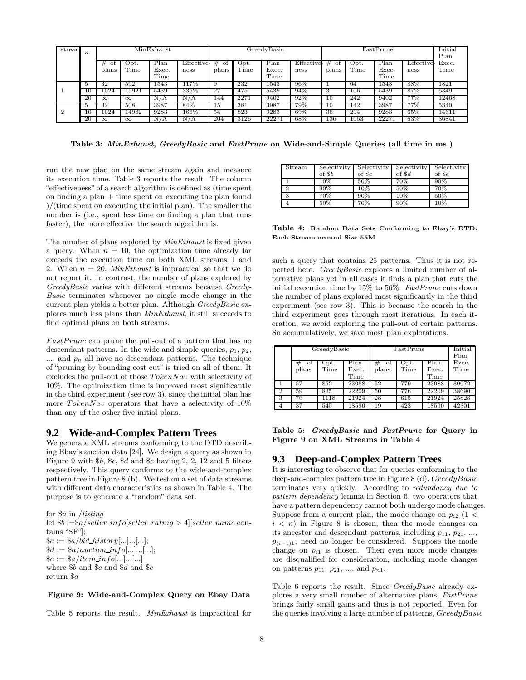| stream | $\boldsymbol{n}$ | MinExhaust       |              |                       | GreedyBasic        |                    |              | FastPrune             |                    |                  |              | Initial<br>Plan       |                          |               |
|--------|------------------|------------------|--------------|-----------------------|--------------------|--------------------|--------------|-----------------------|--------------------|------------------|--------------|-----------------------|--------------------------|---------------|
|        |                  | #<br>οt<br>plans | Opt.<br>Time | Plan<br>Exec.<br>Time | Effective-<br>ness | #<br>- of<br>plans | Opt.<br>Time | Plan<br>Exec.<br>Time | Effective-<br>ness | #<br>οt<br>plans | Opt.<br>Time | Plan<br>Exec.<br>Time | <b>Effective</b><br>ness | Exec.<br>Time |
|        |                  | 32               | 592          | 1543                  | 117%               |                    | 232          | 1543                  | 96%                |                  | 64           | 1543                  | 88%                      | 1821          |
|        | 10               | 1024             | 15921        | 5439                  | 336\%              | 27                 | 475          | 5439                  | 94%                | 3                | 106          | 5439                  | 87%                      | 6349          |
|        | 20               | $\infty$         | $\infty$     | N.<br>Ά               | N / A              | 144                | 2271         | 9402                  | 92%                | 10               | 242          | 9402                  | 77%                      | 12468         |
|        |                  | 32               | 508          | 3987                  | 84\%               | 15                 | 381          | 3987                  | 79%                | 10               | 142          | 3987                  | 77%                      | 5340          |
|        | 10               | 1024             | 14982        | 9283                  | 166%               | 54                 | 823          | 9283                  | 69%                | 36               | 294          | 9283                  | 65%                      | 14611         |
|        | 20               | $\infty$         | $\infty$     | N<br>Ά                | N / A              | 204                | 3126         | 22271                 | 68%                | 136              | 1053         | 22271                 | 63%                      | 36841         |

Table 3: MinExhaust, GreedyBasic and FastPrune on Wide-and-Simple Queries (all time in ms.)

run the new plan on the same stream again and measure its execution time. Table 3 reports the result. The column "effectiveness" of a search algorithm is defined as (time spent on finding a plan  $+$  time spent on executing the plan found )/(time spent on executing the initial plan). The smaller the number is (i.e., spent less time on finding a plan that runs faster), the more effective the search algorithm is.

The number of plans explored by  $MinExhaust$  is fixed given a query. When  $n = 10$ , the optimization time already far exceeds the execution time on both XML streams 1 and 2. When  $n = 20$ , MinExhaust is impractical so that we do not report it. In contrast, the number of plans explored by GreedyBasic varies with different streams because Greedy-Basic terminates whenever no single mode change in the current plan yields a better plan. Although GreedyBasic explores much less plans than MinExhaust, it still succeeds to find optimal plans on both streams.

 $FastPrune$  can prune the pull-out of a pattern that has no descendant patterns. In the wide and simple queries,  $p_1$ ,  $p_2$ ,  $...,$  and  $p_n$  all have no descendant patterns. The technique of "pruning by bounding cost cut" is tried on all of them. It excludes the pull-out of those TokenNav with selectivity of 10%. The optimization time is improved most significantly in the third experiment (see row 3), since the initial plan has more  $TokenNav$  operators that have a selectivity of  $10\%$ than any of the other five initial plans.

#### **9.2 Wide-and-Complex Pattern Trees**

We generate XML streams conforming to the DTD describing Ebay's auction data [24]. We design a query as shown in Figure 9 with \$b, \$c, \$d and \$e having 2, 2, 12 and 5 filters respectively. This query conforms to the wide-and-complex pattern tree in Figure 8 (b). We test on a set of data streams with different data characteristics as shown in Table 4. The purpose is to generate a "random" data set.

for \$a in /listing let  $$b := $a/seller_info[seller\_rating > 4] [self_name cone]$ tains "SF"];  $c := \frac{a}{bid\_history[...]...]...[...]};$  $d := \frac{\$a/aution\_info[...]...[...]};$  $\hat{\mathcal{S}}e := \frac{\hat{\mathcal{S}}}{a} / item\_info[...]...[...]$ where \$b and \$c and \$d and \$e return \$a

#### Figure 9: Wide-and-Complex Query on Ebay Data

Table 5 reports the result. MinExhaust is impractical for

| Stream   |        | Selectivity Selectivity | Selectivity      | Selectivity |
|----------|--------|-------------------------|------------------|-------------|
|          | of \$b | of $c$                  | of $\mathcal{A}$ | $of$ $Se$   |
|          | $10\%$ | $50\%$                  | 70%              | $90\%$      |
| $\Omega$ | 90%    | $\overline{10}\%$       | 50%              | 70%         |
| 3        | 70%    | $90\%$                  | $10\%$           | 50%         |
|          | 50%    | 70%                     | 90%              | 10%         |

Table 4: Random Data Sets Conforming to Ebay's DTD: Each Stream around Size 55M

such a query that contains 25 patterns. Thus it is not reported here. GreedyBasic explores a limited number of alternative plans yet in all cases it finds a plan that cuts the initial execution time by 15% to 56%. FastPrune cuts down the number of plans explored most significantly in the third experiment (see row 3). This is because the search in the third experiment goes through most iterations. In each iteration, we avoid exploring the pull-out of certain patterns. So accumulatively, we save most plan explorations.

|                |       | GreedyBasic |       | FastPrune | Initial<br>Plan |       |       |
|----------------|-------|-------------|-------|-----------|-----------------|-------|-------|
|                | οt    | Opt.        | Plan  | οf<br>#   | Opt.            | Plan  | Exec. |
|                | plans | Time        | Exec. | plans     | Time            | Exec. | Time  |
|                |       |             | Time  |           |                 | Time  |       |
|                | 57    | 852         | 23088 | 52        | 779             | 23088 | 30072 |
| $\overline{2}$ | 59    | 825         | 22209 | 50        | 776             | 22209 | 38690 |
| -3             | 76    | 1118        | 21924 | 28        | 615             | 21924 | 25828 |
| 4              | 37    | 545         | 18590 | 19        | 423             | 18590 | 42301 |

Table 5: GreedyBasic and FastPrune for Query in Figure 9 on XML Streams in Table 4

#### **9.3 Deep-and-Complex Pattern Trees**

It is interesting to observe that for queries conforming to the deep-and-complex pattern tree in Figure 8 (d), GreedyBasic terminates very quickly. According to redundancy due to pattern dependency lemma in Section 6, two operators that have a pattern dependency cannot both undergo mode changes. Suppose from a current plan, the mode change on  $p_{i2}$  (1 <  $i \leq n$  in Figure 8 is chosen, then the mode changes on its ancestor and descendant patterns, including  $p_{11}, p_{21}, \ldots$  $p_{(i-1)1}$ , need no longer be considered. Suppose the mode change on  $p_{i1}$  is chosen. Then even more mode changes are disqualified for consideration, including mode changes on patterns  $p_{11}$ ,  $p_{21}$ , ..., and  $p_{n1}$ .

Table 6 reports the result. Since *GreedyBasic* already explores a very small number of alternative plans, FastPrune brings fairly small gains and thus is not reported. Even for the queries involving a large number of patterns, GreedyBasic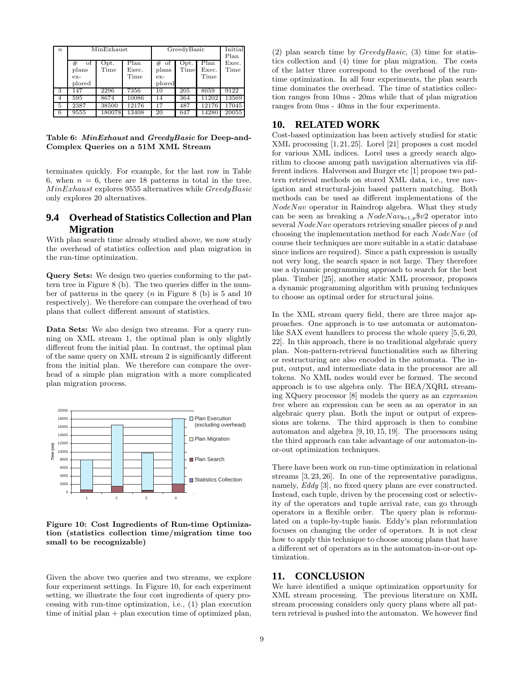| $\boldsymbol{n}$ |         | MinExhaust | GreedyBasic | Initial<br>Plan |      |       |       |
|------------------|---------|------------|-------------|-----------------|------|-------|-------|
|                  | #<br>οf | Opt.       | Plan        | $#$ of          | Opt. | Plan  | Exec. |
|                  | plans   | Time       | Exec.       | plans           | Time | Exec. | Time  |
|                  | $ex-$   |            | Time        | $ex-$           |      | Time  |       |
|                  | plored  |            |             | plored          |      |       |       |
| 3                | 147     | 2296       | 7356        | 10              | 205  | 8059  | 9122  |
| 4                | 595     | 8674       | 10086       | 14              | 364  | 11202 | 13569 |
| 5                | 2387    | 38500      | 12176       | 17              | 487  | 12176 | 17045 |
| 6                | 9555    | 180078     | 13408       | 20              | 647  | 14280 | 20055 |

Table 6: MinExhaust and GreedyBasic for Deep-and-Complex Queries on a 51M XML Stream

terminates quickly. For example, for the last row in Table 6, when  $n = 6$ , there are 18 patterns in total in the tree. MinExhaust explores 9555 alternatives while GreedyBasic only explores 20 alternatives.

# **9.4 Overhead of Statistics Collection and Plan Migration**

With plan search time already studied above, we now study the overhead of statistics collection and plan migration in the run-time optimization.

Query Sets: We design two queries conforming to the pattern tree in Figure 8 (b). The two queries differ in the number of patterns in the query  $(n \text{ in Figure 8 (b)}$  is 5 and 10 respectively). We therefore can compare the overhead of two plans that collect different amount of statistics.

Data Sets: We also design two streams. For a query running on XML stream 1, the optimal plan is only slightly different from the initial plan. In contrast, the optimal plan of the same query on XML stream 2 is significantly different from the initial plan. We therefore can compare the overhead of a simple plan migration with a more complicated plan migration process.



Figure 10: Cost Ingredients of Run-time Optimization (statistics collection time/migration time too small to be recognizable)

Given the above two queries and two streams, we explore four experiment settings. In Figure 10, for each experiment setting, we illustrate the four cost ingredients of query processing with run-time optimization, i.e., (1) plan execution time of initial plan  $+$  plan execution time of optimized plan,

(2) plan search time by  $Greedy Basic$ , (3) time for statistics collection and (4) time for plan migration. The costs of the latter three correspond to the overhead of the runtime optimization. In all four experiments, the plan search time dominates the overhead. The time of statistics collection ranges from 10ms - 20ms while that of plan migration ranges from 0ms - 40ms in the four experiments.

# **10. RELATED WORK**

Cost-based optimization has been actively studied for static XML processing [1, 21, 25]. Lorel [21] proposes a cost model for various XML indices. Lorel uses a greedy search algorithm to choose among path navigation alternatives via different indices. Halverson and Burger etc [1] propose two pattern retrieval methods on stored XML data, i.e., tree navigation and structural-join based pattern matching. Both methods can be used as different implementations of the NodeNav operator in Raindrop algebra. What they study can be seen as breaking a  $NodeNav_{\$v1,p}$\$ v2 operator into several  $NodeNav$  operators retrieving smaller pieces of  $p$  and choosing the implementation method for each NodeNav (of course their techniques are more suitable in a static database since indices are required). Since a path expression is usually not very long, the search space is not large. They therefore use a dynamic programming approach to search for the best plan. Timber [25], another static XML processor, proposes a dynamic programming algorithm with pruning techniques to choose an optimal order for structural joins.

In the XML stream query field, there are three major approaches. One approach is to use automata or automatonlike SAX event handlers to process the whole query [5,6,20, 22]. In this approach, there is no traditional algebraic query plan. Non-pattern-retrieval functionalities such as filtering or restructuring are also encoded in the automata. The input, output, and intermediate data in the processor are all tokens. No XML nodes would ever be formed. The second approach is to use algebra only. The BEA/XQRL streaming XQuery processor [8] models the query as an expression tree where an expression can be seen as an operator in an algebraic query plan. Both the input or output of expressions are tokens. The third approach is then to combine automaton and algebra [9, 10, 15, 19]. The processors using the third approach can take advantage of our automaton-inor-out optimization techniques.

There have been work on run-time optimization in relational streams [3, 23, 26]. In one of the representative paradigms, namely, Eddy [3], no fixed query plans are ever constructed. Instead, each tuple, driven by the processing cost or selectivity of the operators and tuple arrival rate, can go through operators in a flexible order. The query plan is reformulated on a tuple-by-tuple basis. Eddy's plan reformulation focuses on changing the order of operators. It is not clear how to apply this technique to choose among plans that have a different set of operators as in the automaton-in-or-out optimization.

# **11. CONCLUSION**

We have identified a unique optimization opportunity for XML stream processing. The previous literature on XML stream processing considers only query plans where all pattern retrieval is pushed into the automaton. We however find